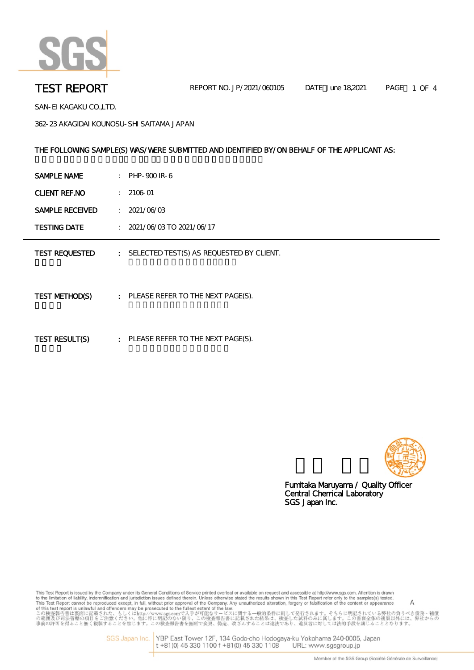

 $\sim$ 

SAN-EI KAGAKU CO.,LTD.

362-23 AKAGIDAI KOUNOSU-SHI SAITAMA JAPAN

# THE FOLLOWING SAMPLE(S) WAS/WERE SUBMITTED AND IDENTIFIED BY/ON BEHALF OF THE APPLICANT AS:

| SAMPLE NAME            |                             | $\therefore$ PHP-900 IR-6                  |
|------------------------|-----------------------------|--------------------------------------------|
| <b>CLIENT REF.NO</b>   | t.                          | $2106 - 01$                                |
| <b>SAMPLE RECEIVED</b> | $\mathcal{I}^{\mathcal{I}}$ | 2021/06/03                                 |
| <b>TESTING DATE</b>    |                             | $\frac{1}{2021}/06/03$ TO 2021/06/17       |
| <b>TEST REQUESTED</b>  |                             | : SELECTED TEST(S) AS REQUESTED BY CLIENT. |
| TEST METHOD(S)         |                             | : PLEASE REFER TO THE NEXT PAGE(S).        |
| TEST RESULT(S)         |                             | : PLEASE REFER TO THE NEXT PAGE(S).        |



SGS Japan Inc. Fumitaka Maruyama / Quality Officer Central Chemical Laboratory

This Test Report is issued by the Company under its General Conditions of Service printed overleaf or available on request and accessible at http://www.sgs.com. Attention is drawn<br>to the limitation of liability, indemnif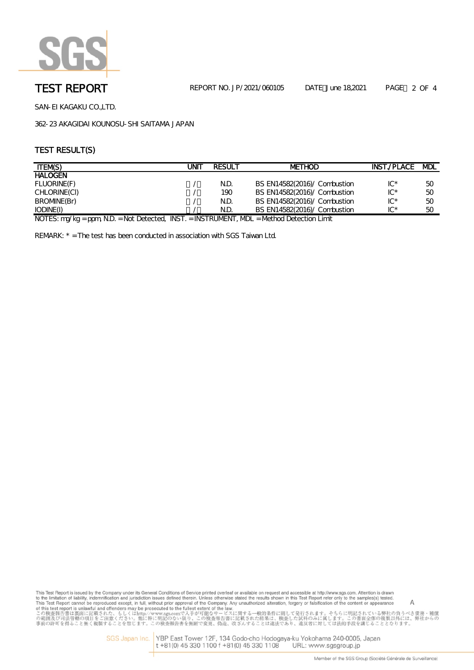

SAN-EI KAGAKU CO.,LTD.

362-23 AKAGIDAI KOUNOSU-SHI SAITAMA JAPAN

## TEST RESULT(S)

| <b>ITEM(S)</b>                                    | UNIT | <b>RESULT</b> | <b>METHOD</b>                | INST./PLACE | <b>MDL</b> |
|---------------------------------------------------|------|---------------|------------------------------|-------------|------------|
| <b>HALOGEN</b>                                    |      |               |                              |             |            |
| FLUORINE(F)                                       |      | N.D.          | BS EN14582(2016)/ Combustion | $IC^*$      | 50         |
| CHLORINE(CI)                                      |      | 190           | BS EN14582(2016)/ Combustion | $IC^*$      | 50         |
| BROMNE(Br)                                        |      | N.D.          | BS EN14582(2016)/ Combustion | $IC^*$      | 50         |
| IODINE(I)                                         |      | N.D.          | BS EN14582(2016)/ Combustion | $IC^*$      | 50         |
| $\cdots$<br>$\cdots$<br>$\cdots$<br>$\cdots$<br>. |      |               |                              |             |            |

NOTES: mg/kg = ppm, N.D. = Not Detected, INST. = INSTRUMENT, MDL = Method Detection Limit

REMARK: \* = The test has been conducted in association with SGS Taiwan Ltd.

This Test Report is issued by the Company under its General Conditions of Service printed overleaf or available on request and accessible at http://www.sgs.com. Attention is drawn<br>to the limitation of liability, indemnif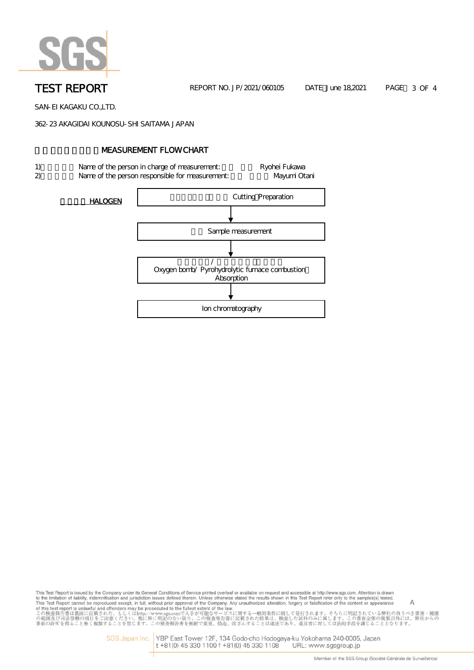

TEST REPORT **NO. 2021/060105** DATE June 18,2021 PAGE 3 OF 4

SAN-EI KAGAKU CO.,LTD.

362-23 AKAGIDAI KOUNOSU-SHI SAITAMA JAPAN

# **NEASUREMENT FLOW CHART**

- 1) Name of the person in charge of measurement: Ryohei Fukawa
- 2) Name of the person responsible for measurement: Nayumi Otani

HALOGEN | NOTE | NOTE | NOTE | NOTE | NOTE | NOTE | NOTE | NOTE | NOTE | NOTE | NOTE | NOTE | NOTE | NOTE | NO Sample measurement  $\sqrt{a^2 + b^2}$ Oxygen bomb/ Pyrohydrolytic furnace combustion **Absorption** Ion chromatography

This Test Report is issued by the Company under its General Conditions of Service printed overleaf or available on request and accessible at http://www.sgs.com. Attention is drawn This Test Report is issued by the Company under its General Conditions of Service printed overleaf or available on request and accessible at http://www.sgs.com. Attention is drawn<br>to the limitation of liability, indemnif

SGS Japan Inc. YBP East Tower 12F, 134 Godo-cho Hodogaya-ku Yokohama 240-0005, Japan<br>t +81(0) 45 330 1100 f +81(0) 45 330 1108 URL: www.sgsgroup.jp